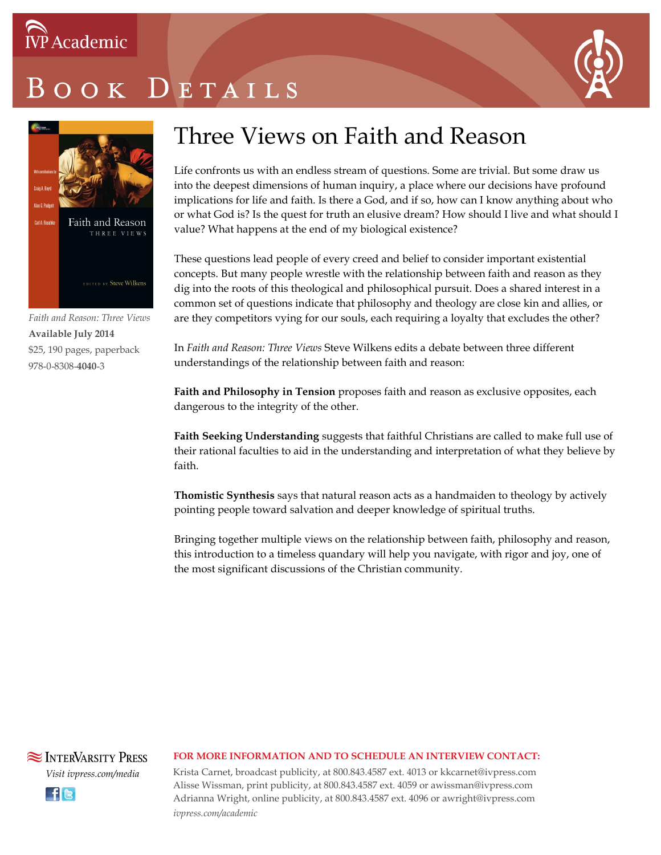# OOK DETAILS



*Faith and Reason: Three Views* **Available July 2014** \$25, 190 pages, paperback 978-0-8308-**4040**-3

## Three Views on Faith and Reason

Life confronts us with an endless stream of questions. Some are trivial. But some draw us into the deepest dimensions of human inquiry, a place where our decisions have profound implications for life and faith. Is there a God, and if so, how can I know anything about who or what God is? Is the quest for truth an elusive dream? How should I live and what should I value? What happens at the end of my biological existence?

These questions lead people of every creed and belief to consider important existential concepts. But many people wrestle with the relationship between faith and reason as they dig into the roots of this theological and philosophical pursuit. Does a shared interest in a common set of questions indicate that philosophy and theology are close kin and allies, or are they competitors vying for our souls, each requiring a loyalty that excludes the other?

In *Faith and Reason: Three Views* Steve Wilkens edits a debate between three different understandings of the relationship between faith and reason:

**Faith and Philosophy in Tension** proposes faith and reason as exclusive opposites, each dangerous to the integrity of the other.

**Faith Seeking Understanding** suggests that faithful Christians are called to make full use of their rational faculties to aid in the understanding and interpretation of what they believe by faith.

**Thomistic Synthesis** says that natural reason acts as a handmaiden to theology by actively pointing people toward salvation and deeper knowledge of spiritual truths.

Bringing together multiple views on the relationship between faith, philosophy and reason, this introduction to a timeless quandary will help you navigate, with rigor and joy, one of the most significant discussions of the Christian community.

### **SEX INTERVARSITY PRESS** *Visit ivpress.com/media* **Ele**

#### **FOR MORE INFORMATION AND TO SCHEDULE AN INTERVIEW CONTACT:**

Krista Carnet, broadcast publicity, at 800.843.4587 ext. 4013 or kkcarnet@ivpress.com Alisse Wissman, print publicity, at 800.843.4587 ext. 4059 or awissman@ivpress.com Adrianna Wright, online publicity, at 800.843.4587 ext. 4096 or awright@ivpress.com *ivpress.com/academic*